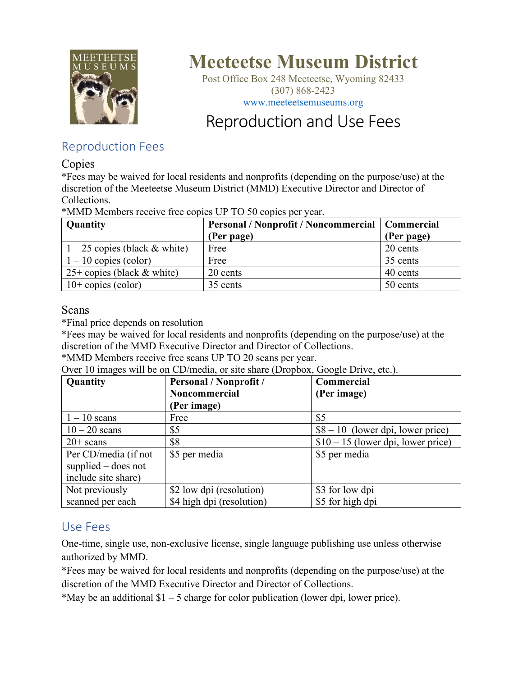

# **Meeteetse Museum District**

Post Office Box 248 Meeteetse, Wyoming 82433 (307) 868-2423 [www.meeteetsemuseums.org](http://www.meeteetsemuseums.org/)

## Reproduction and Use Fees

## Reproduction Fees

#### Copies

\*Fees may be waived for local residents and nonprofits (depending on the purpose/use) at the discretion of the Meeteetse Museum District (MMD) Executive Director and Director of Collections.

\*MMD Members receive free copies UP TO 50 copies per year.

| Quantity                        | Personal / Nonprofit / Noncommercial   Commercial<br>(Per page) | (Per page) |
|---------------------------------|-----------------------------------------------------------------|------------|
| $1 - 25$ copies (black & white) | Free                                                            | 20 cents   |
| $1 - 10$ copies (color)         | Free                                                            | 35 cents   |
| $25+$ copies (black & white)    | 20 cents                                                        | 40 cents   |
| $10+$ copies (color)            | 35 cents                                                        | 50 cents   |

### Scans

\*Final price depends on resolution

\*Fees may be waived for local residents and nonprofits (depending on the purpose/use) at the discretion of the MMD Executive Director and Director of Collections.

\*MMD Members receive free scans UP TO 20 scans per year.

Over 10 images will be on CD/media, or site share (Dropbox, Google Drive, etc.).

| Quantity              | Personal / Nonprofit /    | Commercial                          |
|-----------------------|---------------------------|-------------------------------------|
|                       | Noncommercial             | (Per image)                         |
|                       | (Per image)               |                                     |
| $1 - 10$ scans        | Free                      | \$5                                 |
| $10 - 20$ scans       | \$5                       | $$8 - 10$ (lower dpi, lower price)  |
| $20+$ scans           | \$8                       | $$10 - 15$ (lower dpi, lower price) |
| Per CD/media (if not  | \$5 per media             | \$5 per media                       |
| supplied $-$ does not |                           |                                     |
| include site share)   |                           |                                     |
| Not previously        | \$2 low dpi (resolution)  | \$3 for low dpi                     |
| scanned per each      | \$4 high dpi (resolution) | \$5 for high dpi                    |

## Use Fees

One-time, single use, non-exclusive license, single language publishing use unless otherwise authorized by MMD.

\*Fees may be waived for local residents and nonprofits (depending on the purpose/use) at the discretion of the MMD Executive Director and Director of Collections.

\*May be an additional  $$1 - 5$  charge for color publication (lower dpi, lower price).